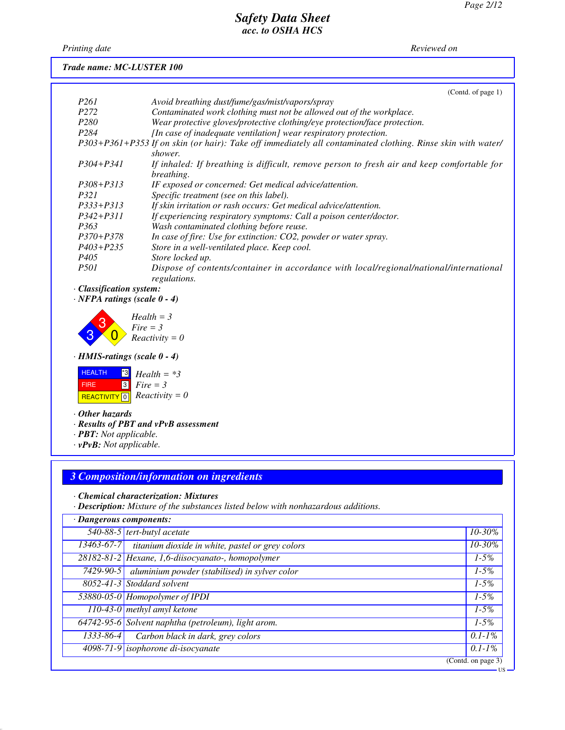*Printing date 01/01/2021 Reviewed on 01/01/2021*

### *Trade name: MC-LUSTER 100*

|                  | (Cond. of page 1)                                                                                                      |
|------------------|------------------------------------------------------------------------------------------------------------------------|
| P <sub>261</sub> | Avoid breathing dust/fume/gas/mist/vapors/spray                                                                        |
| P <sub>272</sub> | Contaminated work clothing must not be allowed out of the workplace.                                                   |
| P <sub>280</sub> | Wear protective gloves/protective clothing/eye protection/face protection.                                             |
| P <sub>284</sub> | [In case of inadequate ventilation] wear respiratory protection.                                                       |
|                  | P303+P361+P353 If on skin (or hair): Take off immediately all contaminated clothing. Rinse skin with water/<br>shower. |
| $P304 + P341$    | If inhaled: If breathing is difficult, remove person to fresh air and keep comfortable for<br>breathing.               |
| $P308 + P313$    | IF exposed or concerned: Get medical advice/attention.                                                                 |
| <i>P321</i>      | Specific treatment (see on this label).                                                                                |
| $P333+P313$      | If skin irritation or rash occurs: Get medical advice/attention.                                                       |
| $P342 + P311$    | If experiencing respiratory symptoms: Call a poison center/doctor.                                                     |
| P363             | Wash contaminated clothing before reuse.                                                                               |
| $P370 + P378$    | In case of fire: Use for extinction: CO2, powder or water spray.                                                       |
| $P403 + P235$    | Store in a well-ventilated place. Keep cool.                                                                           |
| P405             | Store locked up.                                                                                                       |
| <i>P501</i>      | Dispose of contents/container in accordance with local/regional/national/international<br>regulations.                 |

*· Classification system:*

*· NFPA ratings (scale 0 - 4)*



*· HMIS-ratings (scale 0 - 4)*



- *· Other hazards*
- *· Results of PBT and vPvB assessment*
- *· PBT: Not applicable.*
- *· vPvB: Not applicable.*

### *3 Composition/information on ingredients*

*· Chemical characterization: Mixtures*

*· Description: Mixture of the substances listed below with nonhazardous additions.*

| · Dangerous components: |                                                                 |                    |
|-------------------------|-----------------------------------------------------------------|--------------------|
|                         | 540-88-5 tert-butyl acetate                                     | $10 - 30\%$        |
| $13463 - 67 - 7$        | titanium dioxide in white, pastel or grey colors                | 10-30%             |
|                         | 28182-81-2 Hexane, 1,6-diisocyanato-, homopolymer               | $1 - 5\%$          |
|                         | 7429-90-5 $\vert$ aluminium powder (stabilised) in sylver color | $1-5%$             |
|                         | 8052-41-3 Stoddard solvent                                      | $1 - 5\%$          |
|                         | 53880-05-0 Homopolymer of IPDI                                  | $1-5%$             |
|                         | 110-43-0 methyl amyl ketone                                     | $1-5%$             |
|                         | 64742-95-6 Solvent naphtha (petroleum), light arom.             | $1 - 5\%$          |
| $1333 - 86 - 4$         | Carbon black in dark, grey colors                               | $0.1 - 1\%$        |
|                         | 4098-71-9 isophorone di-isocyanate                              | $0.1 - 1\%$        |
|                         |                                                                 | (Contd. on page 3) |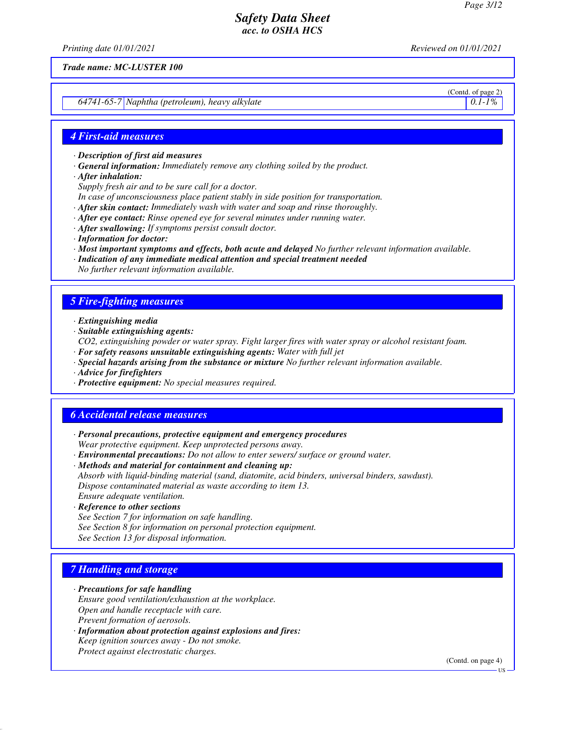*Printing date 01/01/2021 Reviewed on 01/01/2021*

*Trade name: MC-LUSTER 100*

*64741-65-7 Naphtha (petroleum), heavy alkylate 0.1-1%*

# (Contd. of page 2)

#### *4 First-aid measures*

- *· Description of first aid measures*
- *· General information: Immediately remove any clothing soiled by the product.*
- *· After inhalation:*
- *Supply fresh air and to be sure call for a doctor.*
- *In case of unconsciousness place patient stably in side position for transportation.*
- *· After skin contact: Immediately wash with water and soap and rinse thoroughly.*
- *· After eye contact: Rinse opened eye for several minutes under running water.*
- *· After swallowing: If symptoms persist consult doctor.*
- *· Information for doctor:*
- *· Most important symptoms and effects, both acute and delayed No further relevant information available.*
- *· Indication of any immediate medical attention and special treatment needed*
- *No further relevant information available.*

### *5 Fire-fighting measures*

- *· Extinguishing media*
- *· Suitable extinguishing agents:*
- *CO2, extinguishing powder or water spray. Fight larger fires with water spray or alcohol resistant foam.*
- *· For safety reasons unsuitable extinguishing agents: Water with full jet*
- *· Special hazards arising from the substance or mixture No further relevant information available.*
- *· Advice for firefighters*
- *· Protective equipment: No special measures required.*

#### *6 Accidental release measures*

- *· Personal precautions, protective equipment and emergency procedures Wear protective equipment. Keep unprotected persons away.*
- *· Environmental precautions: Do not allow to enter sewers/ surface or ground water.*

*· Methods and material for containment and cleaning up: Absorb with liquid-binding material (sand, diatomite, acid binders, universal binders, sawdust). Dispose contaminated material as waste according to item 13.*

- *Ensure adequate ventilation.*
- *· Reference to other sections*
- *See Section 7 for information on safe handling. See Section 8 for information on personal protection equipment. See Section 13 for disposal information.*

#### *7 Handling and storage*

- *· Precautions for safe handling Ensure good ventilation/exhaustion at the workplace. Open and handle receptacle with care. Prevent formation of aerosols.*
- *· Information about protection against explosions and fires: Keep ignition sources away - Do not smoke. Protect against electrostatic charges.*

(Contd. on page 4)

US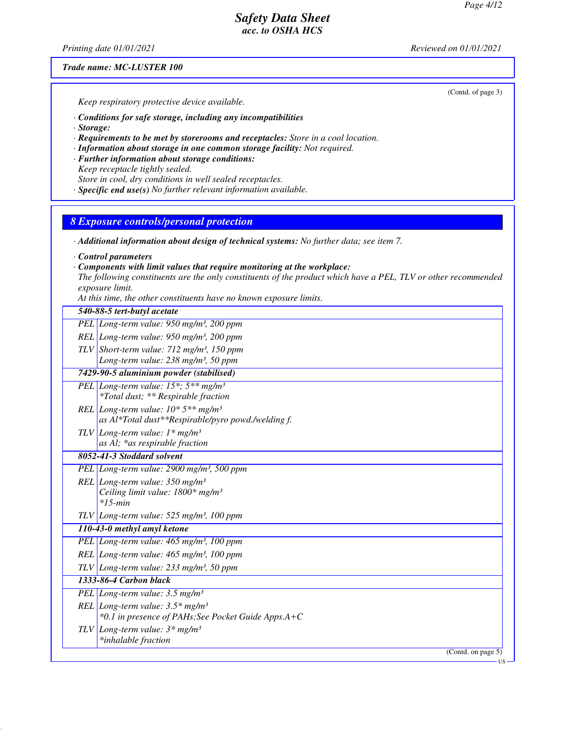*Printing date 01/01/2021 Reviewed on 01/01/2021*

#### *Trade name: MC-LUSTER 100*

(Contd. of page 3)

*Keep respiratory protective device available.*

*· Conditions for safe storage, including any incompatibilities*

- *· Storage:*
- *· Requirements to be met by storerooms and receptacles: Store in a cool location.*
- *· Information about storage in one common storage facility: Not required.*
- *· Further information about storage conditions: Keep receptacle tightly sealed. Store in cool, dry conditions in well sealed receptacles.*
- *· Specific end use(s) No further relevant information available.*

### *8 Exposure controls/personal protection*

*· Additional information about design of technical systems: No further data; see item 7.*

*· Control parameters*

#### *· Components with limit values that require monitoring at the workplace:*

*The following constituents are the only constituents of the product which have a PEL, TLV or other recommended exposure limit.*

*At this time, the other constituents have no known exposure limits.*

| PEL Long-term value: 950 mg/m <sup>3</sup> , 200 ppm<br>REL Long-term value: $950$ mg/m <sup>3</sup> , 200 ppm<br>TLV Short-term value: $712$ mg/m <sup>3</sup> , 150 ppm<br>Long-term value: 238 mg/m <sup>3</sup> , 50 ppm<br>7429-90-5 aluminium powder (stabilised)<br>PEL Long-term value: $15^*$ ; $5^{**}$ mg/m <sup>3</sup><br>*Total dust; ** Respirable fraction<br>REL Long-term value: $10*5**mg/m^3$<br>as Al*Total dust**Respirable/pyro powd./welding f.<br>TLV Long-term value: $1 * mg/m3$<br>as Al; *as respirable fraction<br>8052-41-3 Stoddard solvent<br>PEL Long-term value: 2900 mg/m <sup>3</sup> , 500 ppm<br>REL Long-term value: $350$ mg/m <sup>3</sup><br>Ceiling limit value: 1800* mg/m <sup>3</sup><br>$*15$ -min<br>$TLV$ Long-term value: 525 mg/m <sup>3</sup> , 100 ppm |  |  |
|--------------------------------------------------------------------------------------------------------------------------------------------------------------------------------------------------------------------------------------------------------------------------------------------------------------------------------------------------------------------------------------------------------------------------------------------------------------------------------------------------------------------------------------------------------------------------------------------------------------------------------------------------------------------------------------------------------------------------------------------------------------------------------------------------------------|--|--|
|                                                                                                                                                                                                                                                                                                                                                                                                                                                                                                                                                                                                                                                                                                                                                                                                              |  |  |
|                                                                                                                                                                                                                                                                                                                                                                                                                                                                                                                                                                                                                                                                                                                                                                                                              |  |  |
|                                                                                                                                                                                                                                                                                                                                                                                                                                                                                                                                                                                                                                                                                                                                                                                                              |  |  |
|                                                                                                                                                                                                                                                                                                                                                                                                                                                                                                                                                                                                                                                                                                                                                                                                              |  |  |
|                                                                                                                                                                                                                                                                                                                                                                                                                                                                                                                                                                                                                                                                                                                                                                                                              |  |  |
|                                                                                                                                                                                                                                                                                                                                                                                                                                                                                                                                                                                                                                                                                                                                                                                                              |  |  |
|                                                                                                                                                                                                                                                                                                                                                                                                                                                                                                                                                                                                                                                                                                                                                                                                              |  |  |
|                                                                                                                                                                                                                                                                                                                                                                                                                                                                                                                                                                                                                                                                                                                                                                                                              |  |  |
|                                                                                                                                                                                                                                                                                                                                                                                                                                                                                                                                                                                                                                                                                                                                                                                                              |  |  |
|                                                                                                                                                                                                                                                                                                                                                                                                                                                                                                                                                                                                                                                                                                                                                                                                              |  |  |
|                                                                                                                                                                                                                                                                                                                                                                                                                                                                                                                                                                                                                                                                                                                                                                                                              |  |  |
|                                                                                                                                                                                                                                                                                                                                                                                                                                                                                                                                                                                                                                                                                                                                                                                                              |  |  |
|                                                                                                                                                                                                                                                                                                                                                                                                                                                                                                                                                                                                                                                                                                                                                                                                              |  |  |
|                                                                                                                                                                                                                                                                                                                                                                                                                                                                                                                                                                                                                                                                                                                                                                                                              |  |  |
|                                                                                                                                                                                                                                                                                                                                                                                                                                                                                                                                                                                                                                                                                                                                                                                                              |  |  |
|                                                                                                                                                                                                                                                                                                                                                                                                                                                                                                                                                                                                                                                                                                                                                                                                              |  |  |
| 110-43-0 methyl amyl ketone                                                                                                                                                                                                                                                                                                                                                                                                                                                                                                                                                                                                                                                                                                                                                                                  |  |  |
| PEL Long-term value: 465 mg/m <sup>3</sup> , 100 ppm                                                                                                                                                                                                                                                                                                                                                                                                                                                                                                                                                                                                                                                                                                                                                         |  |  |
| REL Long-term value: $465$ mg/m <sup>3</sup> , 100 ppm                                                                                                                                                                                                                                                                                                                                                                                                                                                                                                                                                                                                                                                                                                                                                       |  |  |
| $TLV$ Long-term value: 233 mg/m <sup>3</sup> , 50 ppm                                                                                                                                                                                                                                                                                                                                                                                                                                                                                                                                                                                                                                                                                                                                                        |  |  |
| 1333-86-4 Carbon black                                                                                                                                                                                                                                                                                                                                                                                                                                                                                                                                                                                                                                                                                                                                                                                       |  |  |
| PEL Long-term value: $3.5 \text{ mg/m}^3$                                                                                                                                                                                                                                                                                                                                                                                                                                                                                                                                                                                                                                                                                                                                                                    |  |  |
| REL Long-term value: $3.5*$ mg/m <sup>3</sup>                                                                                                                                                                                                                                                                                                                                                                                                                                                                                                                                                                                                                                                                                                                                                                |  |  |
| *0.1 in presence of PAHs; See Pocket Guide Apps.A+C                                                                                                                                                                                                                                                                                                                                                                                                                                                                                                                                                                                                                                                                                                                                                          |  |  |
| TLV Long-term value: $3*$ mg/m <sup>3</sup>                                                                                                                                                                                                                                                                                                                                                                                                                                                                                                                                                                                                                                                                                                                                                                  |  |  |
| *inhalable fraction                                                                                                                                                                                                                                                                                                                                                                                                                                                                                                                                                                                                                                                                                                                                                                                          |  |  |
| (Contd. on page 5)<br>US-                                                                                                                                                                                                                                                                                                                                                                                                                                                                                                                                                                                                                                                                                                                                                                                    |  |  |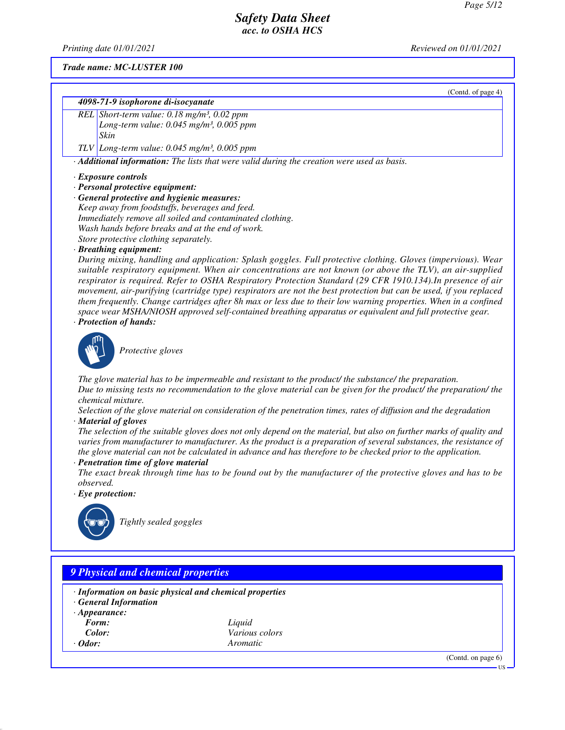(Contd. of page 4)

### *Safety Data Sheet acc. to OSHA HCS*

*Printing date 01/01/2021 Reviewed on 01/01/2021*

#### *Trade name: MC-LUSTER 100*

#### *4098-71-9 isophorone di-isocyanate*

*REL Short-term value: 0.18 mg/m³, 0.02 ppm Long-term value: 0.045 mg/m³, 0.005 ppm Skin*

*TLV Long-term value: 0.045 mg/m³, 0.005 ppm*

*· Additional information: The lists that were valid during the creation were used as basis.*

#### *· Exposure controls*

- *· Personal protective equipment:*
- *· General protective and hygienic measures: Keep away from foodstuffs, beverages and feed. Immediately remove all soiled and contaminated clothing.*

*Wash hands before breaks and at the end of work. Store protective clothing separately.*

*· Breathing equipment:*

*During mixing, handling and application: Splash goggles. Full protective clothing. Gloves (impervious). Wear suitable respiratory equipment. When air concentrations are not known (or above the TLV), an air-supplied respirator is required. Refer to OSHA Respiratory Protection Standard (29 CFR 1910.134).In presence of air movement, air-purifying (cartridge type) respirators are not the best protection but can be used, if you replaced them frequently. Change cartridges after 8h max or less due to their low warning properties. When in a confined space wear MSHA/NIOSH approved self-contained breathing apparatus or equivalent and full protective gear. · Protection of hands:*



\_S*Protective gloves*

*The glove material has to be impermeable and resistant to the product/ the substance/ the preparation. Due to missing tests no recommendation to the glove material can be given for the product/ the preparation/ the chemical mixture.*

*Selection of the glove material on consideration of the penetration times, rates of diffusion and the degradation · Material of gloves*

*The selection of the suitable gloves does not only depend on the material, but also on further marks of quality and varies from manufacturer to manufacturer. As the product is a preparation of several substances, the resistance of the glove material can not be calculated in advance and has therefore to be checked prior to the application.*

*· Penetration time of glove material*

*The exact break through time has to be found out by the manufacturer of the protective gloves and has to be observed.*

*· Eye protection:*



\_R*Tightly sealed goggles*

# *9 Physical and chemical properties · Information on basic physical and chemical properties · General Information · Appearance: Form: Liquid Color: Various colors · Odor: Aromatic* (Contd. on page 6) US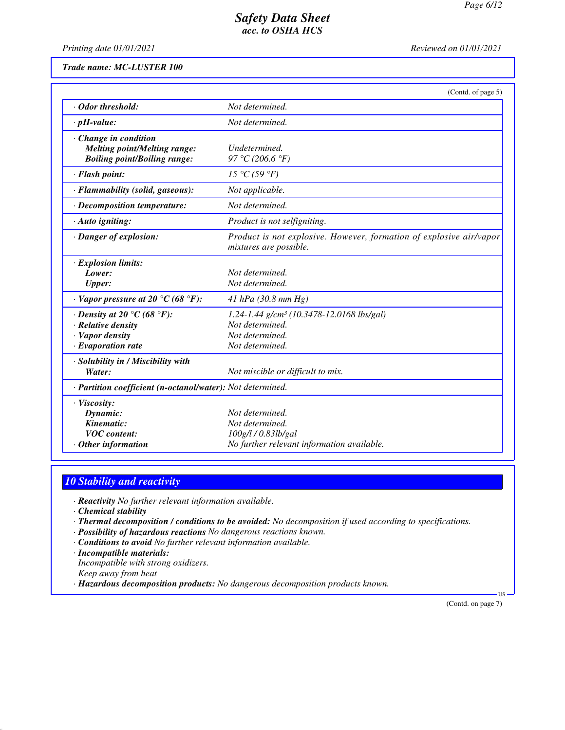*Printing date 01/01/2021 Reviewed on 01/01/2021*

*Trade name: MC-LUSTER 100*

|                                                                                                           | (Contd. of page 5)                                                                                             |  |
|-----------------------------------------------------------------------------------------------------------|----------------------------------------------------------------------------------------------------------------|--|
| Odor threshold:                                                                                           | Not determined.                                                                                                |  |
| $\cdot$ pH-value:                                                                                         | Not determined.                                                                                                |  |
| $\cdot$ Change in condition<br><b>Melting point/Melting range:</b><br><b>Boiling point/Boiling range:</b> | Undetermined.<br>97 °C (206.6 °F)                                                                              |  |
| · Flash point:                                                                                            | 15 °C (59 °F)                                                                                                  |  |
| · Flammability (solid, gaseous):                                                                          | Not applicable.                                                                                                |  |
| $\cdot$ Decomposition temperature:                                                                        | Not determined.                                                                                                |  |
| $\cdot$ Auto igniting:                                                                                    | Product is not selfigniting.                                                                                   |  |
| · Danger of explosion:                                                                                    | Product is not explosive. However, formation of explosive air/vapor<br>mixtures are possible.                  |  |
| $\cdot$ Explosion limits:<br>Lower:<br><b>Upper:</b>                                                      | Not determined.<br>Not determined.                                                                             |  |
| $\cdot$ Vapor pressure at 20 °C (68 °F):                                                                  | 41 hPa $(30.8 \, mm \, Hg)$                                                                                    |  |
| $\cdot$ Density at 20 °C (68 °F):<br>· Relative density<br>· Vapor density<br>$\cdot$ Evaporation rate    | 1.24-1.44 g/cm <sup>3</sup> (10.3478-12.0168 lbs/gal)<br>Not determined.<br>Not determined.<br>Not determined. |  |
| · Solubility in / Miscibility with<br>Water:                                                              | Not miscible or difficult to mix.                                                                              |  |
| · Partition coefficient (n-octanol/water): Not determined.                                                |                                                                                                                |  |
| $\cdot$ Viscosity:<br>Dynamic:<br>Kinematic:<br><b>VOC</b> content:<br>$·$ Other information              | Not determined.<br>Not determined.<br>100g/l / 0.83lb/gal<br>No further relevant information available.        |  |

### *10 Stability and reactivity*

*· Reactivity No further relevant information available.*

*· Chemical stability*

*· Thermal decomposition / conditions to be avoided: No decomposition if used according to specifications.*

- *· Possibility of hazardous reactions No dangerous reactions known.*
- *· Conditions to avoid No further relevant information available.*
- *· Incompatible materials:*

*Incompatible with strong oxidizers. Keep away from heat*

*· Hazardous decomposition products: No dangerous decomposition products known.*

(Contd. on page 7)

US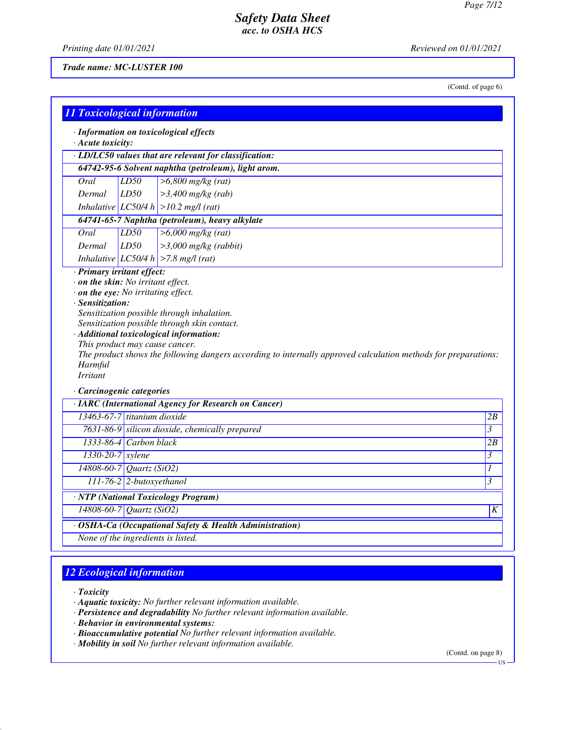*Printing date 01/01/2021 Reviewed on 01/01/2021*

#### *Trade name: MC-LUSTER 100*

(Contd. of page 6)

|                            |                                                             | · LD/LC50 values that are relevant for classification:                                                                                                                             |                                                     |
|----------------------------|-------------------------------------------------------------|------------------------------------------------------------------------------------------------------------------------------------------------------------------------------------|-----------------------------------------------------|
|                            |                                                             | 64742-95-6 Solvent naphtha (petroleum), light arom.                                                                                                                                |                                                     |
| Oral                       | LD50                                                        | $>6,800$ mg/kg (rat)                                                                                                                                                               |                                                     |
| Dermal                     | LD50                                                        | $>3,400$ mg/kg (rab)                                                                                                                                                               |                                                     |
|                            |                                                             | Inhalative $ LC50/4 h  > 10.2$ mg/l (rat)                                                                                                                                          |                                                     |
|                            |                                                             | 64741-65-7 Naphtha (petroleum), heavy alkylate                                                                                                                                     |                                                     |
| Oral                       | LD50                                                        | $>6,000$ mg/kg (rat)                                                                                                                                                               |                                                     |
| Dermal                     | LD50                                                        | $>3,000$ mg/kg (rabbit)                                                                                                                                                            |                                                     |
|                            |                                                             | Inhalative LC50/4 h $>$ 7.8 mg/l (rat)                                                                                                                                             |                                                     |
| $\cdot$ Sensitization:     |                                                             | $\cdot$ on the eye: No irritating effect.<br>Sensitization possible through inhalation.<br>Sensitization possible through skin contact.<br>· Additional toxicological information: |                                                     |
| Harmful<br><b>Irritant</b> | This product may cause cancer.<br>· Carcinogenic categories | The product shows the following dangers according to internally approved calculation methods for preparations:                                                                     |                                                     |
|                            |                                                             | · IARC (International Agency for Research on Cancer)                                                                                                                               |                                                     |
|                            | 13463-67-7 titanium dioxide                                 |                                                                                                                                                                                    |                                                     |
|                            |                                                             | 7631-86-9 silicon dioxide, chemically prepared                                                                                                                                     |                                                     |
|                            | 1333-86-4 Carbon black                                      |                                                                                                                                                                                    |                                                     |
|                            | $1330-20-7$ xylene                                          |                                                                                                                                                                                    |                                                     |
|                            | 14808-60-7 Quartz (SiO2)                                    |                                                                                                                                                                                    |                                                     |
|                            | 111-76-2 2-butoxyethanol                                    |                                                                                                                                                                                    | 2B<br>3<br>2B<br>3<br>1<br>$\overline{\mathcal{E}}$ |
|                            | 14808-60-7 Quartz (SiO2)                                    | · NTP (National Toxicology Program)                                                                                                                                                | K                                                   |

# *12 Ecological information*

*· Toxicity*

- *· Aquatic toxicity: No further relevant information available.*
- *· Persistence and degradability No further relevant information available.*
- *· Behavior in environmental systems:*
- *· Bioaccumulative potential No further relevant information available.*
- *· Mobility in soil No further relevant information available.*

(Contd. on page 8)

US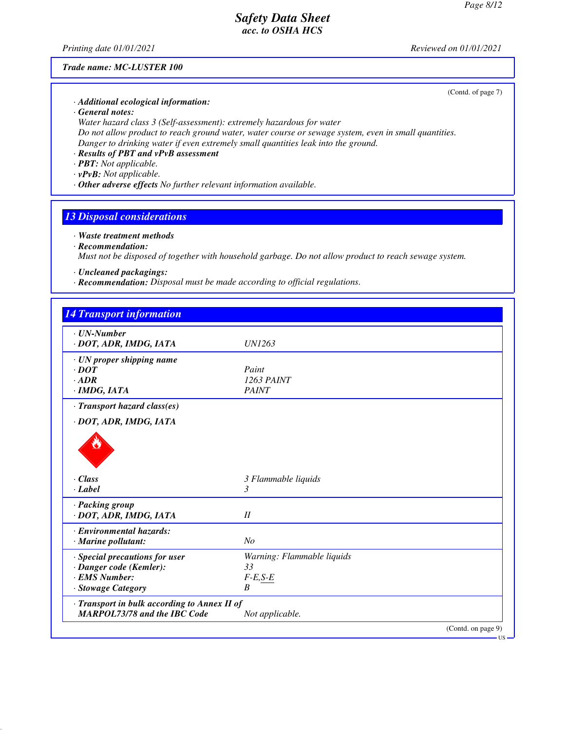*Printing date 01/01/2021 Reviewed on 01/01/2021*

#### *Trade name: MC-LUSTER 100*

(Contd. of page 7)

- *· Additional ecological information:*
- *· General notes:*

*Water hazard class 3 (Self-assessment): extremely hazardous for water Do not allow product to reach ground water, water course or sewage system, even in small quantities. Danger to drinking water if even extremely small quantities leak into the ground.*

- *· Results of PBT and vPvB assessment*
- *· PBT: Not applicable.*
- *· vPvB: Not applicable.*
- *· Other adverse effects No further relevant information available.*

### *13 Disposal considerations*

#### *· Waste treatment methods*

*· Recommendation:*

*Must not be disposed of together with household garbage. Do not allow product to reach sewage system.*

- *· Uncleaned packagings:*
- *· Recommendation: Disposal must be made according to official regulations.*

| $\cdot$ UN-Number                            |                            |
|----------------------------------------------|----------------------------|
| · DOT, ADR, IMDG, IATA                       | <i>UN1263</i>              |
| · UN proper shipping name                    |                            |
| $\cdot$ DOT                                  | Paint                      |
| $·$ <i>ADR</i>                               | 1263 PAINT                 |
| $·$ <i>IMDG, IATA</i>                        | <b>PAINT</b>               |
| · Transport hazard class(es)                 |                            |
| · DOT, ADR, IMDG, IATA                       |                            |
|                                              |                            |
| $\cdot$ Class                                | 3 Flammable liquids        |
| $\cdot$ Label                                | 3                          |
| · Packing group                              |                            |
| · DOT, ADR, IMDG, IATA                       | II                         |
| · Environmental hazards:                     |                            |
| · Marine pollutant:                          | No                         |
| · Special precautions for user               | Warning: Flammable liquids |
| · Danger code (Kemler):                      | 33                         |
| · EMS Number:                                | $F-E,S-E$                  |
| · Stowage Category                           | $\boldsymbol{B}$           |
| · Transport in bulk according to Annex II of |                            |
| <b>MARPOL73/78 and the IBC Code</b>          | Not applicable.            |

US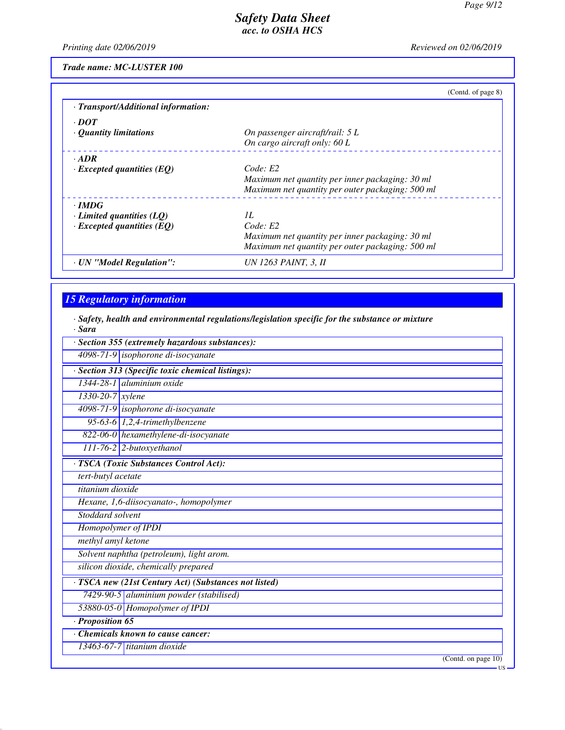*Printing date 02/06/2019 Reviewed on 02/06/2019*

*Trade name: MC-LUSTER 100*

|                                     | (Contd. of page 8)                               |
|-------------------------------------|--------------------------------------------------|
| · Transport/Additional information: |                                                  |
| $\cdot$ DOT                         |                                                  |
| $\cdot$ Quantity limitations        | On passenger aircraft/rail: 5 L                  |
|                                     | On cargo aircraft only: 60 L                     |
| $\cdot$ ADR                         |                                                  |
| $\cdot$ Excepted quantities (EQ)    | Code: E2                                         |
|                                     | Maximum net quantity per inner packaging: 30 ml  |
|                                     | Maximum net quantity per outer packaging: 500 ml |
| $\cdot$ IMDG                        |                                                  |
| $\cdot$ Limited quantities (LQ)     | II.                                              |
| $\cdot$ Excepted quantities (EQ)    | Code: E2                                         |
|                                     | Maximum net quantity per inner packaging: 30 ml  |
|                                     | Maximum net quantity per outer packaging: 500 ml |
| · UN "Model Regulation":            | UN 1263 PAINT, 3, II                             |

## *15 Regulatory information*

*· Safety, health and environmental regulations/legislation specific for the substance or mixture*

| · Sara                                                |                     |
|-------------------------------------------------------|---------------------|
| · Section 355 (extremely hazardous substances):       |                     |
| 4098-71-9 isophorone di-isocyanate                    |                     |
| · Section 313 (Specific toxic chemical listings):     |                     |
| $1344-28-1$ aluminium oxide                           |                     |
| $1330 - 20 - 7$ <i>xylene</i>                         |                     |
| 4098-71-9 isophorone di-isocyanate                    |                     |
| 95-63-6 $1,2,4$ -trimethylbenzene                     |                     |
| 822-06-0 hexamethylene-di-isocyanate                  |                     |
| $111-76-2$ 2-butoxyethanol                            |                     |
| · TSCA (Toxic Substances Control Act):                |                     |
| tert-butyl acetate                                    |                     |
| titanium dioxide                                      |                     |
| Hexane, 1,6-diisocyanato-, homopolymer                |                     |
| Stoddard solvent                                      |                     |
| Homopolymer of IPDI                                   |                     |
| methyl amyl ketone                                    |                     |
| Solvent naphtha (petroleum), light arom.              |                     |
| silicon dioxide, chemically prepared                  |                     |
| · TSCA new (21st Century Act) (Substances not listed) |                     |
| 7429-90-5 aluminium powder (stabilised)               |                     |
| 53880-05-0 Homopolymer of IPDI                        |                     |
| $\cdot$ Proposition 65                                |                     |
| Chemicals known to cause cancer:                      |                     |
| 13463-67-7 titanium dioxide                           |                     |
|                                                       | (Contd. on page 10) |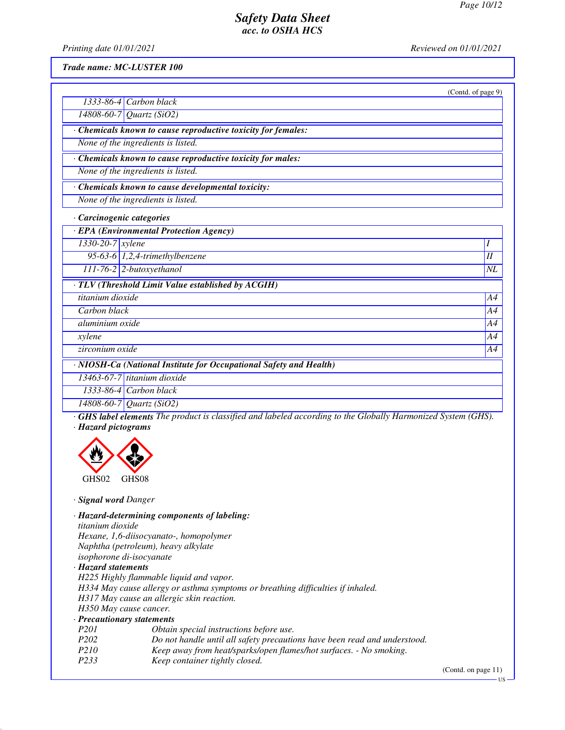*Printing date 01/01/2021 Reviewed on 01/01/2021*

*Trade name: MC-LUSTER 100*

|                                                                    | (Contd. of page 9) |
|--------------------------------------------------------------------|--------------------|
| $1333-86-4$ Carbon black                                           |                    |
| 14808-60-7 Quartz (SiO2)                                           |                    |
| Chemicals known to cause reproductive toxicity for females:        |                    |
| None of the ingredients is listed.                                 |                    |
| Chemicals known to cause reproductive toxicity for males:          |                    |
| None of the ingredients is listed.                                 |                    |
| Chemicals known to cause developmental toxicity:                   |                    |
| None of the ingredients is listed.                                 |                    |
| · Carcinogenic categories                                          |                    |
| · EPA (Environmental Protection Agency)                            |                    |
| $1330 - 20 - 7$ xylene                                             | I                  |
| 95-63-6 $1,2,4$ -trimethylbenzene                                  | II                 |
| $111-76-2$ 2-butoxyethanol                                         | $N\!L$             |
| $\cdot$ TLV (Threshold Limit Value established by ACGIH)           |                    |
| titanium dioxide                                                   | A4                 |
| Carbon black                                                       | A4                 |
| aluminium oxide                                                    | A4                 |
| xylene                                                             | A4                 |
| zirconium oxide                                                    | A4                 |
| · NIOSH-Ca (National Institute for Occupational Safety and Health) |                    |
| 13463-67-7 titanium dioxide                                        |                    |
| $1333-86-4$ Carbon black                                           |                    |
| 14808-60-7 Quartz (SiO2)                                           |                    |

*· GHS label elements The product is classified and labeled according to the Globally Harmonized System (GHS). · Hazard pictograms*



*· Signal word Danger*

*· Hazard-determining components of labeling: titanium dioxide Hexane, 1,6-diisocyanato-, homopolymer Naphtha (petroleum), heavy alkylate isophorone di-isocyanate*

*· Hazard statements*

*H225 Highly flammable liquid and vapor. H334 May cause allergy or asthma symptoms or breathing difficulties if inhaled. H317 May cause an allergic skin reaction. H350 May cause cancer.*

#### *· Precautionary statements*

- *P201 Obtain special instructions before use. P202 Do not handle until all safety precautions have been read and understood.*
- *P210 Keep away from heat/sparks/open flames/hot surfaces. No smoking.*
- *P233 Keep container tightly closed.*

(Contd. on page 11)

US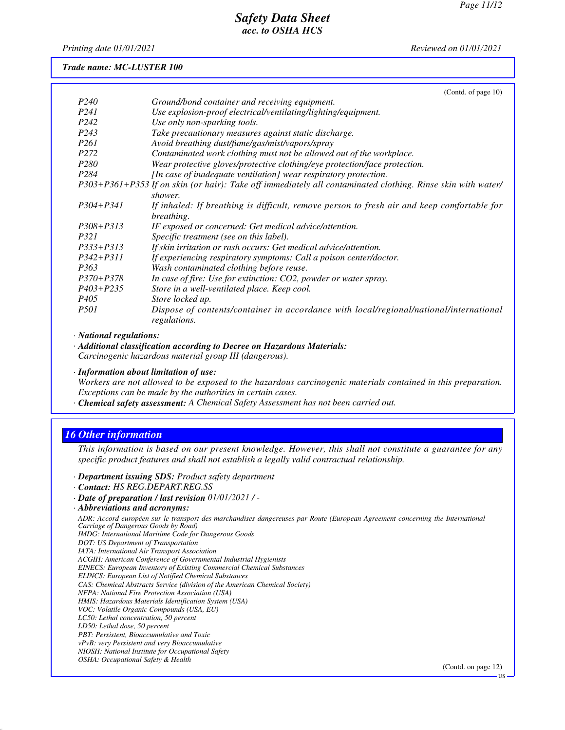*Printing date 01/01/2021 Reviewed on 01/01/2021*

#### *Trade name: MC-LUSTER 100*

|                   | (Contd. of page 10)                                                                                         |
|-------------------|-------------------------------------------------------------------------------------------------------------|
| P <sub>240</sub>  | Ground/bond container and receiving equipment.                                                              |
| P <sub>24</sub> 1 | Use explosion-proof electrical/ventilating/lighting/equipment.                                              |
| P <sub>242</sub>  | Use only non-sparking tools.                                                                                |
| P <sub>243</sub>  | Take precautionary measures against static discharge.                                                       |
| <i>P261</i>       | Avoid breathing dust/fume/gas/mist/vapors/spray                                                             |
| P <sub>272</sub>  | Contaminated work clothing must not be allowed out of the workplace.                                        |
| <i>P280</i>       | Wear protective gloves/protective clothing/eye protection/face protection.                                  |
| P <sub>284</sub>  | [In case of inadequate ventilation] wear respiratory protection.                                            |
|                   | P303+P361+P353 If on skin (or hair): Take off immediately all contaminated clothing. Rinse skin with water/ |
|                   | shower.                                                                                                     |
| P304+P341         | If inhaled: If breathing is difficult, remove person to fresh air and keep comfortable for                  |
|                   | breathing.                                                                                                  |
| $P308 + P313$     | IF exposed or concerned: Get medical advice/attention.                                                      |
| P321              | Specific treatment (see on this label).                                                                     |
| $P333+P313$       | If skin irritation or rash occurs: Get medical advice/attention.                                            |
| $P342 + P311$     | If experiencing respiratory symptoms: Call a poison center/doctor.                                          |
| P <sub>363</sub>  | Wash contaminated clothing before reuse.                                                                    |
| $P370 + P378$     | In case of fire: Use for extinction: CO2, powder or water spray.                                            |
| $P403 + P235$     | Store in a well-ventilated place. Keep cool.                                                                |
| P405              | Store locked up.                                                                                            |
| <i>P501</i>       | Dispose of contents/container in accordance with local/regional/national/international<br>regulations.      |

*· National regulations:*

*· Additional classification according to Decree on Hazardous Materials: Carcinogenic hazardous material group III (dangerous).*

*· Information about limitation of use:*

*Workers are not allowed to be exposed to the hazardous carcinogenic materials contained in this preparation. Exceptions can be made by the authorities in certain cases.*

*· Chemical safety assessment: A Chemical Safety Assessment has not been carried out.*

### *16 Other information*

*This information is based on our present knowledge. However, this shall not constitute a guarantee for any specific product features and shall not establish a legally valid contractual relationship.*

- *· Department issuing SDS: Product safety department*
- *· Contact: HS REG.DEPART.REG.SS*
- *· Date of preparation / last revision 01/01/2021 / -*
- *· Abbreviations and acronyms:*

*ADR: Accord européen sur le transport des marchandises dangereuses par Route (European Agreement concerning the International Carriage of Dangerous Goods by Road)*

- *IMDG: International Maritime Code for Dangerous Goods*
- *DOT: US Department of Transportation*
- *IATA: International Air Transport Association*
- *ACGIH: American Conference of Governmental Industrial Hygienists*
- *EINECS: European Inventory of Existing Commercial Chemical Substances ELINCS: European List of Notified Chemical Substances*
- 
- *CAS: Chemical Abstracts Service (division of the American Chemical Society)*
- *NFPA: National Fire Protection Association (USA) HMIS: Hazardous Materials Identification System (USA)*
- *VOC: Volatile Organic Compounds (USA, EU)*
- *LC50: Lethal concentration, 50 percent*
- *LD50: Lethal dose, 50 percent*
- *PBT: Persistent, Bioaccumulative and Toxic*
- *vPvB: very Persistent and very Bioaccumulative*
- *NIOSH: National Institute for Occupational Safety*
- *OSHA: Occupational Safety & Health*

(Contd. on page 12)

US